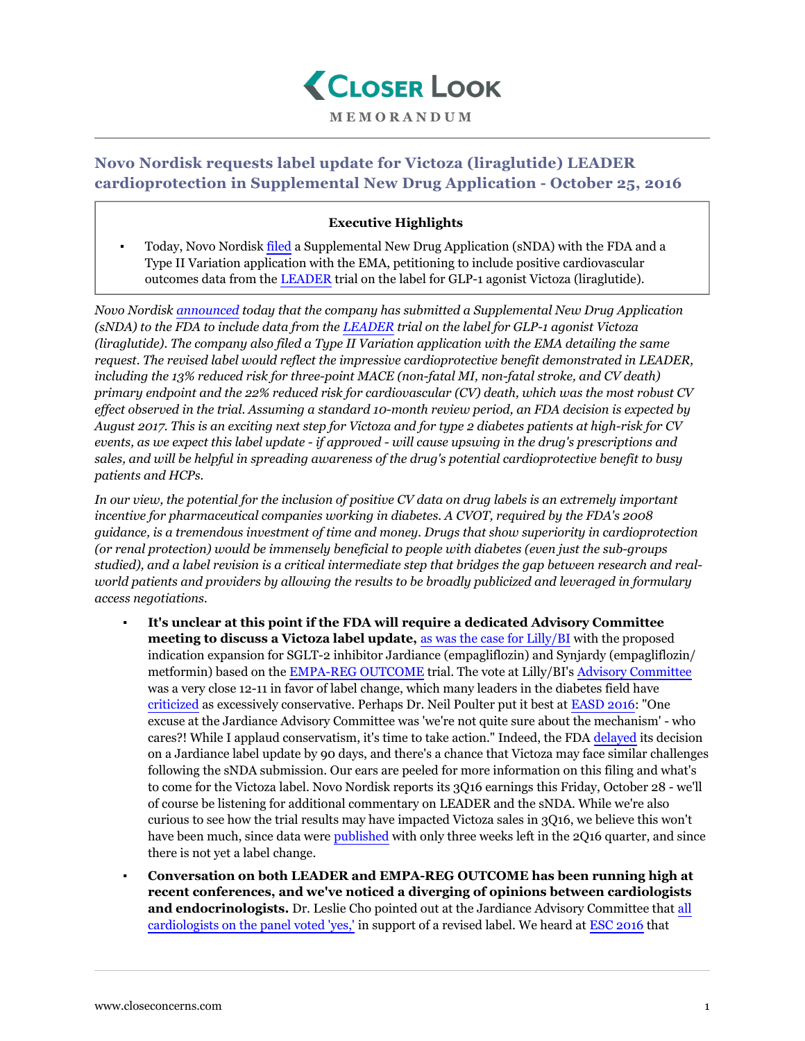

## **Novo Nordisk requests label update for Victoza (liraglutide) LEADER cardioprotection in Supplemental New Drug Application - October 25, 2016**

## **Executive Highlights**

Today, Novo Nordisk [filed](http://hugin.info/2013/R/2050994/767291.pdf) a Supplemental New Drug Application (sNDA) with the FDA and a Type II Variation application with the EMA, petitioning to include positive cardiovascular outcomes data from the [LEADER](https://www.closeconcerns.com/knowledgebase/r/bec79862) trial on the label for GLP-1 agonist Victoza (liraglutide).

*Novo Nordisk [announced](http://hugin.info/2013/R/2050994/767291.pdf) today that the company has submitted a Supplemental New Drug Application (sNDA) to the FDA to include data from the [LEADER](https://www.closeconcerns.com/knowledgebase/r/bec79862) trial on the label for GLP-1 agonist Victoza (liraglutide). The company also filed a Type II Variation application with the EMA detailing the same request. The revised label would reflect the impressive cardioprotective benefit demonstrated in LEADER, including the 13% reduced risk for three-point MACE (non-fatal MI, non-fatal stroke, and CV death) primary endpoint and the 22% reduced risk for cardiovascular (CV) death, which was the most robust CV effect observed in the trial. Assuming a standard 10-month review period, an FDA decision is expected by August 2017. This is an exciting next step for Victoza and for type 2 diabetes patients at high-risk for CV events, as we expect this label update - if approved - will cause upswing in the drug's prescriptions and sales, and will be helpful in spreading awareness of the drug's potential cardioprotective benefit to busy patients and HCPs.*

*In our view, the potential for the inclusion of positive CV data on drug labels is an extremely important incentive for pharmaceutical companies working in diabetes. A CVOT, required by the FDA's 2008 guidance, is a tremendous investment of time and money. Drugs that show superiority in cardioprotection (or renal protection) would be immensely beneficial to people with diabetes (even just the sub-groups studied), and a label revision is a critical intermediate step that bridges the gap between research and realworld patients and providers by allowing the results to be broadly publicized and leveraged in formulary access negotiations.*

- It's unclear at this point if the FDA will require a dedicated Advisory Committee **meeting to discuss a Victoza label update,** [as was the case for Lilly/BI](https://www.closeconcerns.com/knowledgebase/r/6c6c9289) with the proposed indication expansion for SGLT-2 inhibitor Jardiance (empagliflozin) and Synjardy (empagliflozin/ metformin) based on the [EMPA-REG OUTCOME](https://www.closeconcerns.com/knowledgebase/r/2d36c833#Symposium:_Results_of_the_EMPA-REG_OUTCOME_Study) trial. The vote at Lilly/BI's [Advisory Committee](https://www.closeconcerns.com/knowledgebase/r/6c6c9289) was a very close 12-11 in favor of label change, which many leaders in the diabetes field have [criticized](https://www.closeconcerns.com/knowledgebase/r/82ce8d9f#Panel_Discussion) as excessively conservative. Perhaps Dr. Neil Poulter put it best at [EASD 2016](https://www.closeconcerns.com/knowledgebase/r/82ce8d9f#Panel_Discussion): "One excuse at the Jardiance Advisory Committee was 'we're not quite sure about the mechanism' - who cares?! While I applaud conservatism, it's time to take action." Indeed, the FDA [delayed](https://www.closeconcerns.com/knowledgebase/r/0b5be14a) its decision on a Jardiance label update by 90 days, and there's a chance that Victoza may face similar challenges following the sNDA submission. Our ears are peeled for more information on this filing and what's to come for the Victoza label. Novo Nordisk reports its 3Q16 earnings this Friday, October 28 - we'll of course be listening for additional commentary on LEADER and the sNDA. While we're also curious to see how the trial results may have impacted Victoza sales in 3Q16, we believe this won't have been much, since data were [published](http://www.nejm.org/doi/full/10.1056/NEJMoa1603827#t=article) with only three weeks left in the 2Q16 quarter, and since there is not yet a label change.
- **Conversation on both LEADER and EMPA-REG OUTCOME has been running high at recent conferences, and we've noticed a diverging of opinions between cardiologists and endocrinologists.** Dr. Leslie Cho pointed out at the Jardiance Advisory Committee that [all](https://www.closeconcerns.com/knowledgebase/r/6c6c9289#Yes) [cardiologists on the panel voted 'yes,'](https://www.closeconcerns.com/knowledgebase/r/6c6c9289#Yes) in support of a revised label. We heard at [ESC 2016](https://www.closeconcerns.com/knowledgebase/r/ed38fae0#Themes) that